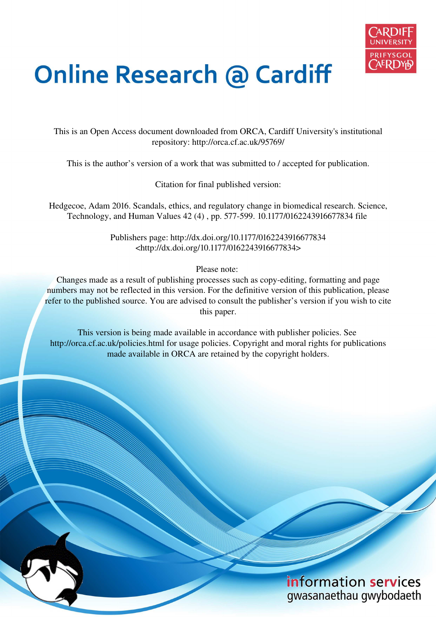

# **Online Research @ Cardiff**

This is an Open Access document downloaded from ORCA, Cardiff University's institutional repository: http://orca.cf.ac.uk/95769/

This is the author's version of a work that was submitted to / accepted for publication.

Citation for final published version:

Hedgecoe, Adam 2016. Scandals, ethics, and regulatory change in biomedical research. Science, Technology, and Human Values 42 (4) , pp. 577-599. 10.1177/0162243916677834 file

> Publishers page: http://dx.doi.org/10.1177/0162243916677834 <http://dx.doi.org/10.1177/0162243916677834>

> > Please note:

Changes made as a result of publishing processes such as copy-editing, formatting and page numbers may not be reflected in this version. For the definitive version of this publication, please refer to the published source. You are advised to consult the publisher's version if you wish to cite this paper.

This version is being made available in accordance with publisher policies. See http://orca.cf.ac.uk/policies.html for usage policies. Copyright and moral rights for publications made available in ORCA are retained by the copyright holders.

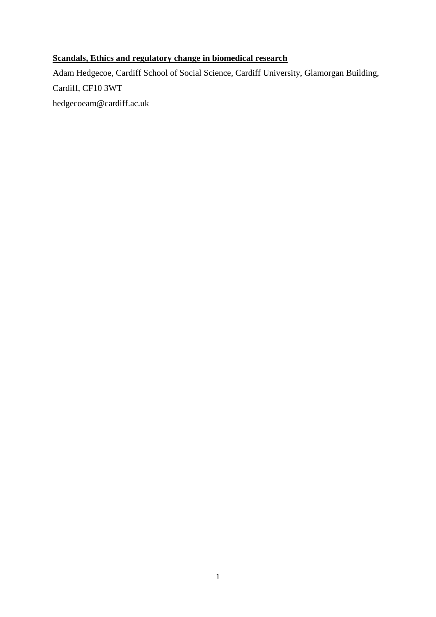## **Scandals, Ethics and regulatory change in biomedical research**

Adam Hedgecoe, Cardiff School of Social Science, Cardiff University, Glamorgan Building, Cardiff, CF10 3WT hedgecoeam@cardiff.ac.uk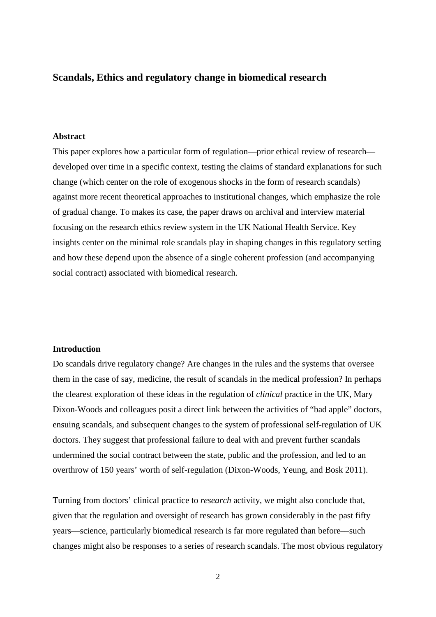## **Scandals, Ethics and regulatory change in biomedical research**

### **Abstract**

This paper explores how a particular form of regulation—prior ethical review of research developed over time in a specific context, testing the claims of standard explanations for such change (which center on the role of exogenous shocks in the form of research scandals) against more recent theoretical approaches to institutional changes, which emphasize the role of gradual change. To makes its case, the paper draws on archival and interview material focusing on the research ethics review system in the UK National Health Service. Key insights center on the minimal role scandals play in shaping changes in this regulatory setting and how these depend upon the absence of a single coherent profession (and accompanying social contract) associated with biomedical research.

## **Introduction**

Do scandals drive regulatory change? Are changes in the rules and the systems that oversee them in the case of say, medicine, the result of scandals in the medical profession? In perhaps the clearest exploration of these ideas in the regulation of *clinical* practice in the UK, Mary Dixon-Woods and colleagues posit a direct link between the activities of "bad apple" doctors, ensuing scandals, and subsequent changes to the system of professional self-regulation of UK doctors. They suggest that professional failure to deal with and prevent further scandals undermined the social contract between the state, public and the profession, and led to an overthrow of 150 years' worth of self-regulation (Dixon-Woods, Yeung, and Bosk 2011).

Turning from doctors' clinical practice to *research* activity, we might also conclude that, given that the regulation and oversight of research has grown considerably in the past fifty years––science, particularly biomedical research is far more regulated than before––such changes might also be responses to a series of research scandals. The most obvious regulatory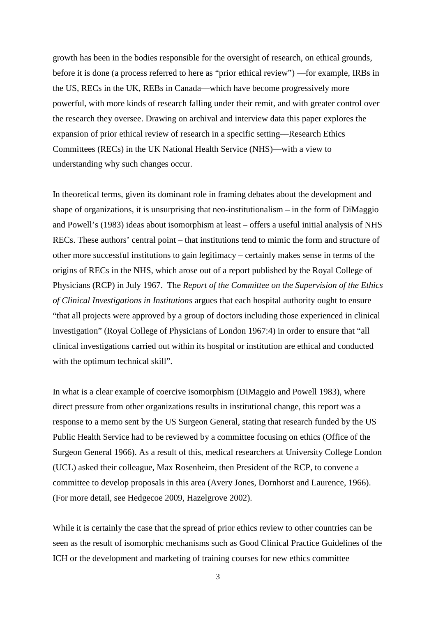growth has been in the bodies responsible for the oversight of research, on ethical grounds, before it is done (a process referred to here as "prior ethical review") ––for example, IRBs in the US, RECs in the UK, REBs in Canada––which have become progressively more powerful, with more kinds of research falling under their remit, and with greater control over the research they oversee. Drawing on archival and interview data this paper explores the expansion of prior ethical review of research in a specific setting––Research Ethics Committees (RECs) in the UK National Health Service (NHS)––with a view to understanding why such changes occur.

In theoretical terms, given its dominant role in framing debates about the development and shape of organizations, it is unsurprising that neo-institutionalism – in the form of DiMaggio and Powell's (1983) ideas about isomorphism at least – offers a useful initial analysis of NHS RECs. These authors' central point – that institutions tend to mimic the form and structure of other more successful institutions to gain legitimacy – certainly makes sense in terms of the origins of RECs in the NHS, which arose out of a report published by the Royal College of Physicians (RCP) in July 1967. The *Report of the Committee on the Supervision of the Ethics of Clinical Investigations in Institutions* argues that each hospital authority ought to ensure "that all projects were approved by a group of doctors including those experienced in clinical investigation" (Royal College of Physicians of London 1967:4) in order to ensure that "all clinical investigations carried out within its hospital or institution are ethical and conducted with the optimum technical skill".

In what is a clear example of coercive isomorphism (DiMaggio and Powell 1983), where direct pressure from other organizations results in institutional change, this report was a response to a memo sent by the US Surgeon General, stating that research funded by the US Public Health Service had to be reviewed by a committee focusing on ethics (Office of the Surgeon General 1966). As a result of this, medical researchers at University College London (UCL) asked their colleague, Max Rosenheim, then President of the RCP, to convene a committee to develop proposals in this area (Avery Jones, Dornhorst and Laurence, 1966). (For more detail, see Hedgecoe 2009, Hazelgrove 2002).

While it is certainly the case that the spread of prior ethics review to other countries can be seen as the result of isomorphic mechanisms such as Good Clinical Practice Guidelines of the ICH or the development and marketing of training courses for new ethics committee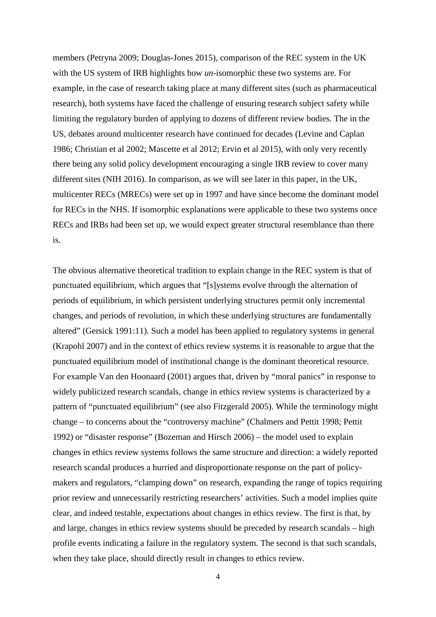members (Petryna 2009; Douglas-Jones 2015), comparison of the REC system in the UK with the US system of IRB highlights how *un*-isomorphic these two systems are. For example, in the case of research taking place at many different sites (such as pharmaceutical research), both systems have faced the challenge of ensuring research subject safety while limiting the regulatory burden of applying to dozens of different review bodies. The in the US, debates around multicenter research have continued for decades (Levine and Caplan 1986; Christian et al 2002; Mascette et al 2012; Ervin et al 2015), with only very recently there being any solid policy development encouraging a single IRB review to cover many different sites (NIH 2016). In comparison, as we will see later in this paper, in the UK, multicenter RECs (MRECs) were set up in 1997 and have since become the dominant model for RECs in the NHS. If isomorphic explanations were applicable to these two systems once RECs and IRBs had been set up, we would expect greater structural resemblance than there is.

The obvious alternative theoretical tradition to explain change in the REC system is that of punctuated equilibrium, which argues that "[s]ystems evolve through the alternation of periods of equilibrium, in which persistent underlying structures permit only incremental changes, and periods of revolution, in which these underlying structures are fundamentally altered" (Gersick 1991:11). Such a model has been applied to regulatory systems in general (Krapohl 2007) and in the context of ethics review systems it is reasonable to argue that the punctuated equilibrium model of institutional change is the dominant theoretical resource. For example Van den Hoonaard (2001) argues that, driven by "moral panics" in response to widely publicized research scandals, change in ethics review systems is characterized by a pattern of "punctuated equilibrium" (see also Fitzgerald 2005). While the terminology might change – to concerns about the "controversy machine" (Chalmers and Pettit 1998; Pettit 1992) or "disaster response" (Bozeman and Hirsch 2006) – the model used to explain changes in ethics review systems follows the same structure and direction: a widely reported research scandal produces a hurried and disproportionate response on the part of policymakers and regulators, "clamping down" on research, expanding the range of topics requiring prior review and unnecessarily restricting researchers' activities. Such a model implies quite clear, and indeed testable, expectations about changes in ethics review. The first is that, by and large, changes in ethics review systems should be preceded by research scandals – high profile events indicating a failure in the regulatory system. The second is that such scandals, when they take place, should directly result in changes to ethics review.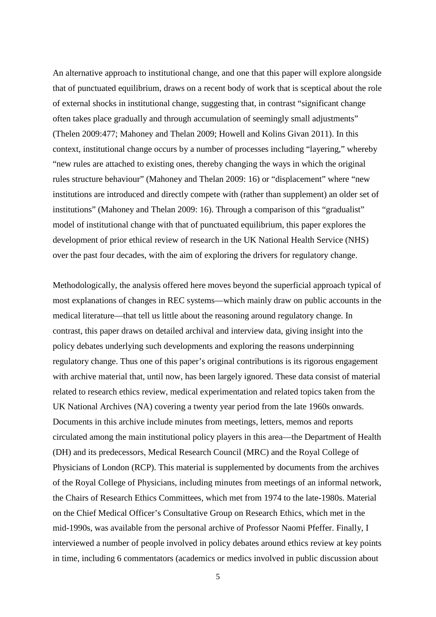An alternative approach to institutional change, and one that this paper will explore alongside that of punctuated equilibrium, draws on a recent body of work that is sceptical about the role of external shocks in institutional change, suggesting that, in contrast "significant change often takes place gradually and through accumulation of seemingly small adjustments" (Thelen 2009:477; Mahoney and Thelan 2009; Howell and Kolins Givan 2011). In this context, institutional change occurs by a number of processes including "layering," whereby "new rules are attached to existing ones, thereby changing the ways in which the original rules structure behaviour" (Mahoney and Thelan 2009: 16) or "displacement" where "new institutions are introduced and directly compete with (rather than supplement) an older set of institutions" (Mahoney and Thelan 2009: 16). Through a comparison of this "gradualist" model of institutional change with that of punctuated equilibrium, this paper explores the development of prior ethical review of research in the UK National Health Service (NHS) over the past four decades, with the aim of exploring the drivers for regulatory change.

Methodologically, the analysis offered here moves beyond the superficial approach typical of most explanations of changes in REC systems––which mainly draw on public accounts in the medical literature––that tell us little about the reasoning around regulatory change. In contrast, this paper draws on detailed archival and interview data, giving insight into the policy debates underlying such developments and exploring the reasons underpinning regulatory change. Thus one of this paper's original contributions is its rigorous engagement with archive material that, until now, has been largely ignored. These data consist of material related to research ethics review, medical experimentation and related topics taken from the UK National Archives (NA) covering a twenty year period from the late 1960s onwards. Documents in this archive include minutes from meetings, letters, memos and reports circulated among the main institutional policy players in this area––the Department of Health (DH) and its predecessors, Medical Research Council (MRC) and the Royal College of Physicians of London (RCP). This material is supplemented by documents from the archives of the Royal College of Physicians, including minutes from meetings of an informal network, the Chairs of Research Ethics Committees, which met from 1974 to the late-1980s. Material on the Chief Medical Officer's Consultative Group on Research Ethics, which met in the mid-1990s, was available from the personal archive of Professor Naomi Pfeffer. Finally, I interviewed a number of people involved in policy debates around ethics review at key points in time, including 6 commentators (academics or medics involved in public discussion about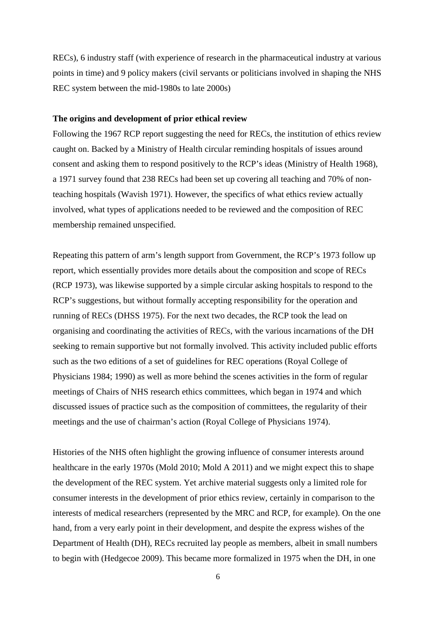RECs), 6 industry staff (with experience of research in the pharmaceutical industry at various points in time) and 9 policy makers (civil servants or politicians involved in shaping the NHS REC system between the mid-1980s to late 2000s)

#### **The origins and development of prior ethical review**

Following the 1967 RCP report suggesting the need for RECs, the institution of ethics review caught on. Backed by a Ministry of Health circular reminding hospitals of issues around consent and asking them to respond positively to the RCP's ideas (Ministry of Health 1968), a 1971 survey found that 238 RECs had been set up covering all teaching and 70% of nonteaching hospitals (Wavish 1971). However, the specifics of what ethics review actually involved, what types of applications needed to be reviewed and the composition of REC membership remained unspecified.

Repeating this pattern of arm's length support from Government, the RCP's 1973 follow up report, which essentially provides more details about the composition and scope of RECs (RCP 1973), was likewise supported by a simple circular asking hospitals to respond to the RCP's suggestions, but without formally accepting responsibility for the operation and running of RECs (DHSS 1975). For the next two decades, the RCP took the lead on organising and coordinating the activities of RECs, with the various incarnations of the DH seeking to remain supportive but not formally involved. This activity included public efforts such as the two editions of a set of guidelines for REC operations (Royal College of Physicians 1984; 1990) as well as more behind the scenes activities in the form of regular meetings of Chairs of NHS research ethics committees, which began in 1974 and which discussed issues of practice such as the composition of committees, the regularity of their meetings and the use of chairman's action (Royal College of Physicians 1974).

Histories of the NHS often highlight the growing influence of consumer interests around healthcare in the early 1970s (Mold 2010; Mold A 2011) and we might expect this to shape the development of the REC system. Yet archive material suggests only a limited role for consumer interests in the development of prior ethics review, certainly in comparison to the interests of medical researchers (represented by the MRC and RCP, for example). On the one hand, from a very early point in their development, and despite the express wishes of the Department of Health (DH), RECs recruited lay people as members, albeit in small numbers to begin with (Hedgecoe 2009). This became more formalized in 1975 when the DH, in one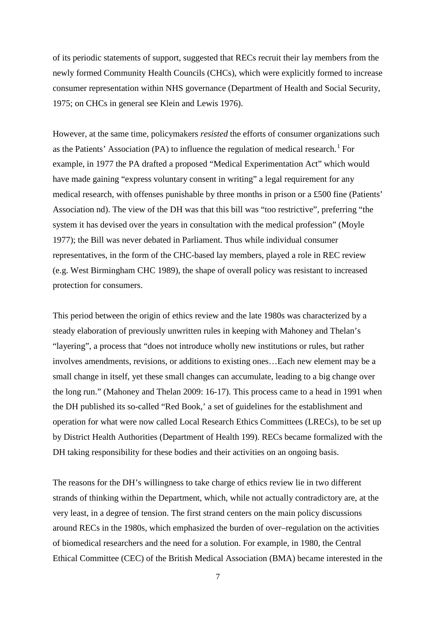of its periodic statements of support, suggested that RECs recruit their lay members from the newly formed Community Health Councils (CHCs), which were explicitly formed to increase consumer representation within NHS governance (Department of Health and Social Security, 1975; on CHCs in general see Klein and Lewis 1976).

However, at the same time, policymakers *resisted* the efforts of consumer organizations such as the Patients' Association (PA) to influence the regulation of medical research.<sup>[1](#page-18-0)</sup> For example, in 1977 the PA drafted a proposed "Medical Experimentation Act" which would have made gaining "express voluntary consent in writing" a legal requirement for any medical research, with offenses punishable by three months in prison or a £500 fine (Patients' Association nd). The view of the DH was that this bill was "too restrictive", preferring "the system it has devised over the years in consultation with the medical profession" (Moyle 1977); the Bill was never debated in Parliament. Thus while individual consumer representatives, in the form of the CHC-based lay members, played a role in REC review (e.g. West Birmingham CHC 1989), the shape of overall policy was resistant to increased protection for consumers.

This period between the origin of ethics review and the late 1980s was characterized by a steady elaboration of previously unwritten rules in keeping with Mahoney and Thelan's "layering", a process that "does not introduce wholly new institutions or rules, but rather involves amendments, revisions, or additions to existing ones…Each new element may be a small change in itself, yet these small changes can accumulate, leading to a big change over the long run." (Mahoney and Thelan 2009: 16-17). This process came to a head in 1991 when the DH published its so-called "Red Book,' a set of guidelines for the establishment and operation for what were now called Local Research Ethics Committees (LRECs), to be set up by District Health Authorities (Department of Health 199). RECs became formalized with the DH taking responsibility for these bodies and their activities on an ongoing basis.

The reasons for the DH's willingness to take charge of ethics review lie in two different strands of thinking within the Department, which, while not actually contradictory are, at the very least, in a degree of tension. The first strand centers on the main policy discussions around RECs in the 1980s, which emphasized the burden of over–regulation on the activities of biomedical researchers and the need for a solution. For example, in 1980, the Central Ethical Committee (CEC) of the British Medical Association (BMA) became interested in the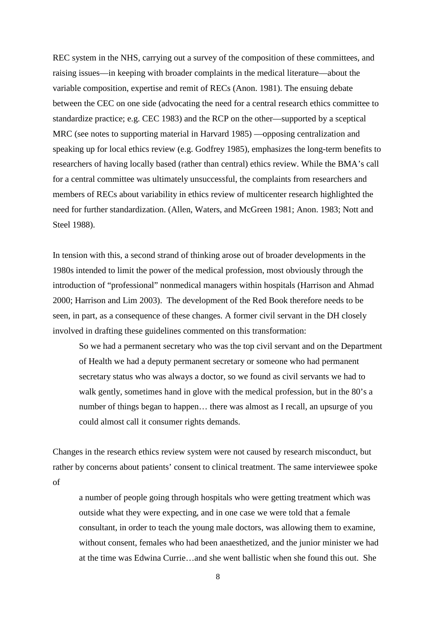REC system in the NHS, carrying out a survey of the composition of these committees, and raising issues––in keeping with broader complaints in the medical literature––about the variable composition, expertise and remit of RECs (Anon. 1981). The ensuing debate between the CEC on one side (advocating the need for a central research ethics committee to standardize practice; e.g. CEC 1983) and the RCP on the other––supported by a sceptical MRC (see notes to supporting material in Harvard 1985) ––opposing centralization and speaking up for local ethics review (e.g. Godfrey 1985), emphasizes the long-term benefits to researchers of having locally based (rather than central) ethics review. While the BMA's call for a central committee was ultimately unsuccessful, the complaints from researchers and members of RECs about variability in ethics review of multicenter research highlighted the need for further standardization. (Allen, Waters, and McGreen 1981; Anon. 1983; Nott and Steel 1988).

In tension with this, a second strand of thinking arose out of broader developments in the 1980s intended to limit the power of the medical profession, most obviously through the introduction of "professional" nonmedical managers within hospitals (Harrison and Ahmad 2000; Harrison and Lim 2003). The development of the Red Book therefore needs to be seen, in part, as a consequence of these changes. A former civil servant in the DH closely involved in drafting these guidelines commented on this transformation:

So we had a permanent secretary who was the top civil servant and on the Department of Health we had a deputy permanent secretary or someone who had permanent secretary status who was always a doctor, so we found as civil servants we had to walk gently, sometimes hand in glove with the medical profession, but in the 80's a number of things began to happen… there was almost as I recall, an upsurge of you could almost call it consumer rights demands.

Changes in the research ethics review system were not caused by research misconduct, but rather by concerns about patients' consent to clinical treatment. The same interviewee spoke of

a number of people going through hospitals who were getting treatment which was outside what they were expecting, and in one case we were told that a female consultant, in order to teach the young male doctors, was allowing them to examine, without consent, females who had been anaesthetized, and the junior minister we had at the time was Edwina Currie…and she went ballistic when she found this out. She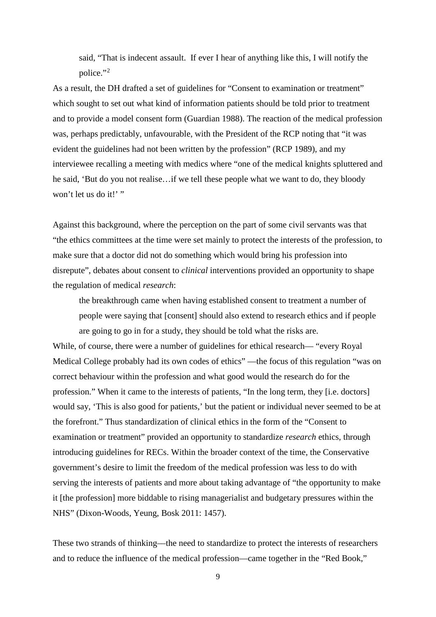said, "That is indecent assault. If ever I hear of anything like this, I will notify the police." [2](#page-19-0)

As a result, the DH drafted a set of guidelines for "Consent to examination or treatment" which sought to set out what kind of information patients should be told prior to treatment and to provide a model consent form (Guardian 1988). The reaction of the medical profession was, perhaps predictably, unfavourable, with the President of the RCP noting that "it was evident the guidelines had not been written by the profession" (RCP 1989), and my interviewee recalling a meeting with medics where "one of the medical knights spluttered and he said, 'But do you not realise…if we tell these people what we want to do, they bloody won't let us do it!' "

Against this background, where the perception on the part of some civil servants was that "the ethics committees at the time were set mainly to protect the interests of the profession, to make sure that a doctor did not do something which would bring his profession into disrepute", debates about consent to *clinical* interventions provided an opportunity to shape the regulation of medical *research*:

the breakthrough came when having established consent to treatment a number of people were saying that [consent] should also extend to research ethics and if people are going to go in for a study, they should be told what the risks are.

While, of course, there were a number of guidelines for ethical research— "every Royal" Medical College probably had its own codes of ethics" ––the focus of this regulation "was on correct behaviour within the profession and what good would the research do for the profession." When it came to the interests of patients, "In the long term, they [i.e. doctors] would say, 'This is also good for patients,' but the patient or individual never seemed to be at the forefront." Thus standardization of clinical ethics in the form of the "Consent to examination or treatment" provided an opportunity to standardize *research* ethics, through introducing guidelines for RECs. Within the broader context of the time, the Conservative government's desire to limit the freedom of the medical profession was less to do with serving the interests of patients and more about taking advantage of "the opportunity to make it [the profession] more biddable to rising managerialist and budgetary pressures within the NHS" (Dixon-Woods, Yeung, Bosk 2011: 1457).

These two strands of thinking––the need to standardize to protect the interests of researchers and to reduce the influence of the medical profession––came together in the "Red Book,"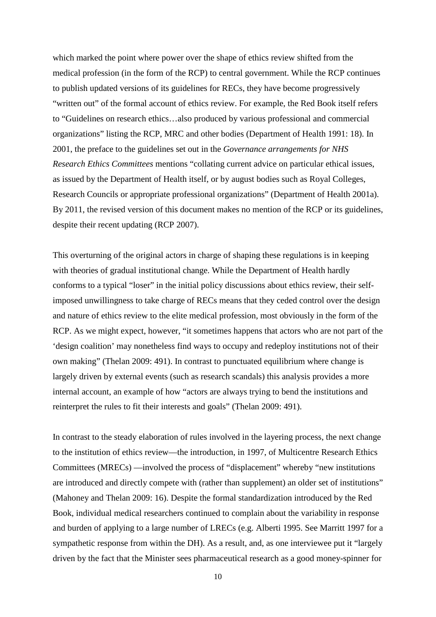which marked the point where power over the shape of ethics review shifted from the medical profession (in the form of the RCP) to central government. While the RCP continues to publish updated versions of its guidelines for RECs, they have become progressively "written out" of the formal account of ethics review. For example, the Red Book itself refers to "Guidelines on research ethics…also produced by various professional and commercial organizations" listing the RCP, MRC and other bodies (Department of Health 1991: 18). In 2001, the preface to the guidelines set out in the *Governance arrangements for NHS Research Ethics Committees* mentions "collating current advice on particular ethical issues, as issued by the Department of Health itself, or by august bodies such as Royal Colleges, Research Councils or appropriate professional organizations" (Department of Health 2001a). By 2011, the revised version of this document makes no mention of the RCP or its guidelines, despite their recent updating (RCP 2007).

This overturning of the original actors in charge of shaping these regulations is in keeping with theories of gradual institutional change. While the Department of Health hardly conforms to a typical "loser" in the initial policy discussions about ethics review, their selfimposed unwillingness to take charge of RECs means that they ceded control over the design and nature of ethics review to the elite medical profession, most obviously in the form of the RCP. As we might expect, however, "it sometimes happens that actors who are not part of the 'design coalition' may nonetheless find ways to occupy and redeploy institutions not of their own making" (Thelan 2009: 491). In contrast to punctuated equilibrium where change is largely driven by external events (such as research scandals) this analysis provides a more internal account, an example of how "actors are always trying to bend the institutions and reinterpret the rules to fit their interests and goals" (Thelan 2009: 491).

In contrast to the steady elaboration of rules involved in the layering process, the next change to the institution of ethics review––the introduction, in 1997, of Multicentre Research Ethics Committees (MRECs) ––involved the process of "displacement" whereby "new institutions are introduced and directly compete with (rather than supplement) an older set of institutions" (Mahoney and Thelan 2009: 16). Despite the formal standardization introduced by the Red Book, individual medical researchers continued to complain about the variability in response and burden of applying to a large number of LRECs (e.g. Alberti 1995. See Marritt 1997 for a sympathetic response from within the DH). As a result, and, as one interviewee put it "largely driven by the fact that the Minister sees pharmaceutical research as a good money-spinner for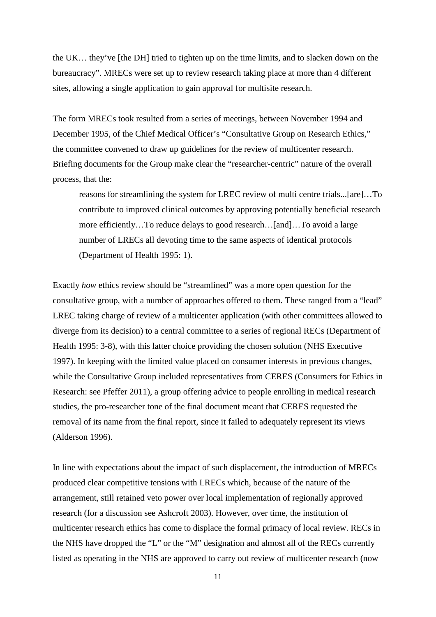the UK… they've [the DH] tried to tighten up on the time limits, and to slacken down on the bureaucracy". MRECs were set up to review research taking place at more than 4 different sites, allowing a single application to gain approval for multisite research.

The form MRECs took resulted from a series of meetings, between November 1994 and December 1995, of the Chief Medical Officer's "Consultative Group on Research Ethics," the committee convened to draw up guidelines for the review of multicenter research. Briefing documents for the Group make clear the "researcher-centric" nature of the overall process, that the:

reasons for streamlining the system for LREC review of multi centre trials...[are]…To contribute to improved clinical outcomes by approving potentially beneficial research more efficiently…To reduce delays to good research…[and]…To avoid a large number of LRECs all devoting time to the same aspects of identical protocols (Department of Health 1995: 1).

Exactly *how* ethics review should be "streamlined" was a more open question for the consultative group, with a number of approaches offered to them. These ranged from a "lead" LREC taking charge of review of a multicenter application (with other committees allowed to diverge from its decision) to a central committee to a series of regional RECs (Department of Health 1995: 3-8), with this latter choice providing the chosen solution (NHS Executive 1997). In keeping with the limited value placed on consumer interests in previous changes, while the Consultative Group included representatives from CERES (Consumers for Ethics in Research: see Pfeffer 2011), a group offering advice to people enrolling in medical research studies, the pro-researcher tone of the final document meant that CERES requested the removal of its name from the final report, since it failed to adequately represent its views (Alderson 1996).

In line with expectations about the impact of such displacement, the introduction of MRECs produced clear competitive tensions with LRECs which, because of the nature of the arrangement, still retained veto power over local implementation of regionally approved research (for a discussion see Ashcroft 2003). However, over time, the institution of multicenter research ethics has come to displace the formal primacy of local review. RECs in the NHS have dropped the "L" or the "M" designation and almost all of the RECs currently listed as operating in the NHS are approved to carry out review of multicenter research (now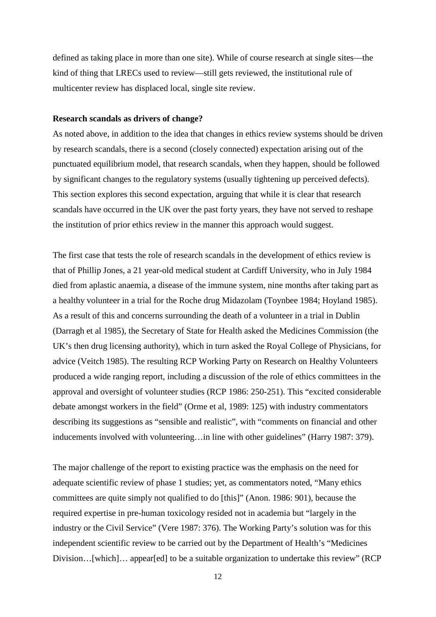defined as taking place in more than one site). While of course research at single sites––the kind of thing that LRECs used to review––still gets reviewed, the institutional rule of multicenter review has displaced local, single site review.

#### **Research scandals as drivers of change?**

As noted above, in addition to the idea that changes in ethics review systems should be driven by research scandals, there is a second (closely connected) expectation arising out of the punctuated equilibrium model, that research scandals, when they happen, should be followed by significant changes to the regulatory systems (usually tightening up perceived defects). This section explores this second expectation, arguing that while it is clear that research scandals have occurred in the UK over the past forty years, they have not served to reshape the institution of prior ethics review in the manner this approach would suggest.

The first case that tests the role of research scandals in the development of ethics review is that of Phillip Jones, a 21 year-old medical student at Cardiff University, who in July 1984 died from aplastic anaemia, a disease of the immune system, nine months after taking part as a healthy volunteer in a trial for the Roche drug Midazolam (Toynbee 1984; Hoyland 1985). As a result of this and concerns surrounding the death of a volunteer in a trial in Dublin (Darragh et al 1985), the Secretary of State for Health asked the Medicines Commission (the UK's then drug licensing authority), which in turn asked the Royal College of Physicians, for advice (Veitch 1985). The resulting RCP Working Party on Research on Healthy Volunteers produced a wide ranging report, including a discussion of the role of ethics committees in the approval and oversight of volunteer studies (RCP 1986: 250-251). This "excited considerable debate amongst workers in the field" (Orme et al, 1989: 125) with industry commentators describing its suggestions as "sensible and realistic", with "comments on financial and other inducements involved with volunteering…in line with other guidelines" (Harry 1987: 379).

The major challenge of the report to existing practice was the emphasis on the need for adequate scientific review of phase 1 studies; yet, as commentators noted, "Many ethics committees are quite simply not qualified to do [this]" (Anon. 1986: 901), because the required expertise in pre-human toxicology resided not in academia but "largely in the industry or the Civil Service" (Vere 1987: 376). The Working Party's solution was for this independent scientific review to be carried out by the Department of Health's "Medicines Division…[which]… appear[ed] to be a suitable organization to undertake this review" (RCP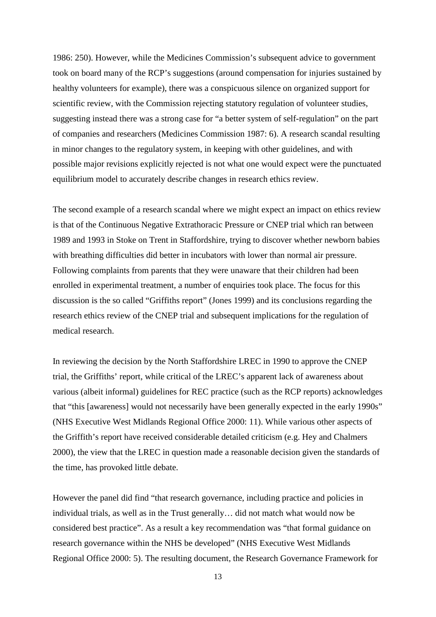1986: 250). However, while the Medicines Commission's subsequent advice to government took on board many of the RCP's suggestions (around compensation for injuries sustained by healthy volunteers for example), there was a conspicuous silence on organized support for scientific review, with the Commission rejecting statutory regulation of volunteer studies, suggesting instead there was a strong case for "a better system of self-regulation" on the part of companies and researchers (Medicines Commission 1987: 6). A research scandal resulting in minor changes to the regulatory system, in keeping with other guidelines, and with possible major revisions explicitly rejected is not what one would expect were the punctuated equilibrium model to accurately describe changes in research ethics review.

The second example of a research scandal where we might expect an impact on ethics review is that of the Continuous Negative Extrathoracic Pressure or CNEP trial which ran between 1989 and 1993 in Stoke on Trent in Staffordshire, trying to discover whether newborn babies with breathing difficulties did better in incubators with lower than normal air pressure. Following complaints from parents that they were unaware that their children had been enrolled in experimental treatment, a number of enquiries took place. The focus for this discussion is the so called "Griffiths report" (Jones 1999) and its conclusions regarding the research ethics review of the CNEP trial and subsequent implications for the regulation of medical research.

In reviewing the decision by the North Staffordshire LREC in 1990 to approve the CNEP trial, the Griffiths' report, while critical of the LREC's apparent lack of awareness about various (albeit informal) guidelines for REC practice (such as the RCP reports) acknowledges that "this [awareness] would not necessarily have been generally expected in the early 1990s" (NHS Executive West Midlands Regional Office 2000: 11). While various other aspects of the Griffith's report have received considerable detailed criticism (e.g. Hey and Chalmers 2000), the view that the LREC in question made a reasonable decision given the standards of the time, has provoked little debate.

However the panel did find "that research governance, including practice and policies in individual trials, as well as in the Trust generally… did not match what would now be considered best practice". As a result a key recommendation was "that formal guidance on research governance within the NHS be developed" (NHS Executive West Midlands Regional Office 2000: 5). The resulting document, the Research Governance Framework for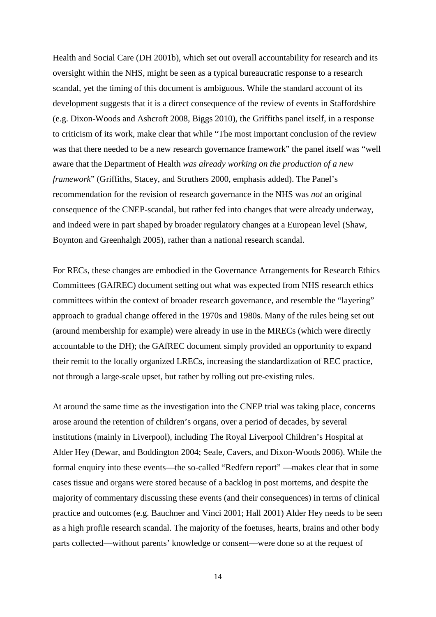Health and Social Care (DH 2001b), which set out overall accountability for research and its oversight within the NHS, might be seen as a typical bureaucratic response to a research scandal, yet the timing of this document is ambiguous. While the standard account of its development suggests that it is a direct consequence of the review of events in Staffordshire (e.g. Dixon-Woods and Ashcroft 2008, Biggs 2010), the Griffiths panel itself, in a response to criticism of its work, make clear that while "The most important conclusion of the review was that there needed to be a new research governance framework" the panel itself was "well aware that the Department of Health *was already working on the production of a new framework*" (Griffiths, Stacey, and Struthers 2000, emphasis added). The Panel's recommendation for the revision of research governance in the NHS was *not* an original consequence of the CNEP-scandal, but rather fed into changes that were already underway, and indeed were in part shaped by broader regulatory changes at a European level (Shaw, Boynton and Greenhalgh 2005), rather than a national research scandal.

For RECs, these changes are embodied in the Governance Arrangements for Research Ethics Committees (GAfREC) document setting out what was expected from NHS research ethics committees within the context of broader research governance, and resemble the "layering" approach to gradual change offered in the 1970s and 1980s. Many of the rules being set out (around membership for example) were already in use in the MRECs (which were directly accountable to the DH); the GAfREC document simply provided an opportunity to expand their remit to the locally organized LRECs, increasing the standardization of REC practice, not through a large-scale upset, but rather by rolling out pre-existing rules.

At around the same time as the investigation into the CNEP trial was taking place, concerns arose around the retention of children's organs, over a period of decades, by several institutions (mainly in Liverpool), including The Royal Liverpool Children's Hospital at Alder Hey (Dewar, and Boddington 2004; Seale, Cavers, and Dixon-Woods 2006). While the formal enquiry into these events—the so-called "Redfern report" —makes clear that in some cases tissue and organs were stored because of a backlog in post mortems, and despite the majority of commentary discussing these events (and their consequences) in terms of clinical practice and outcomes (e.g. Bauchner and Vinci 2001; Hall 2001) Alder Hey needs to be seen as a high profile research scandal. The majority of the foetuses, hearts, brains and other body parts collected––without parents' knowledge or consent––were done so at the request of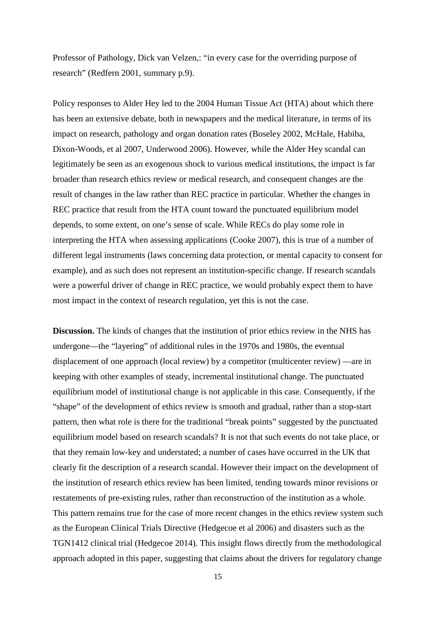Professor of Pathology, Dick van Velzen,: "in every case for the overriding purpose of research" (Redfern 2001, summary p.9).

Policy responses to Alder Hey led to the 2004 Human Tissue Act (HTA) about which there has been an extensive debate, both in newspapers and the medical literature, in terms of its impact on research, pathology and organ donation rates (Boseley 2002, McHale, Habiba, Dixon-Woods, et al 2007, Underwood 2006). However, while the Alder Hey scandal can legitimately be seen as an exogenous shock to various medical institutions, the impact is far broader than research ethics review or medical research, and consequent changes are the result of changes in the law rather than REC practice in particular. Whether the changes in REC practice that result from the HTA count toward the punctuated equilibrium model depends, to some extent, on one's sense of scale. While RECs do play some role in interpreting the HTA when assessing applications (Cooke 2007), this is true of a number of different legal instruments (laws concerning data protection, or mental capacity to consent for example), and as such does not represent an institution-specific change. If research scandals were a powerful driver of change in REC practice, we would probably expect them to have most impact in the context of research regulation, yet this is not the case.

**Discussion.** The kinds of changes that the institution of prior ethics review in the NHS has undergone––the "layering" of additional rules in the 1970s and 1980s, the eventual displacement of one approach (local review) by a competitor (multicenter review) ––are in keeping with other examples of steady, incremental institutional change. The punctuated equilibrium model of institutional change is not applicable in this case. Consequently, if the "shape" of the development of ethics review is smooth and gradual, rather than a stop-start pattern, then what role is there for the traditional "break points" suggested by the punctuated equilibrium model based on research scandals? It is not that such events do not take place, or that they remain low-key and understated; a number of cases have occurred in the UK that clearly fit the description of a research scandal. However their impact on the development of the institution of research ethics review has been limited, tending towards minor revisions or restatements of pre-existing rules, rather than reconstruction of the institution as a whole. This pattern remains true for the case of more recent changes in the ethics review system such as the European Clinical Trials Directive (Hedgecoe et al 2006) and disasters such as the TGN1412 clinical trial (Hedgecoe 2014). This insight flows directly from the methodological approach adopted in this paper, suggesting that claims about the drivers for regulatory change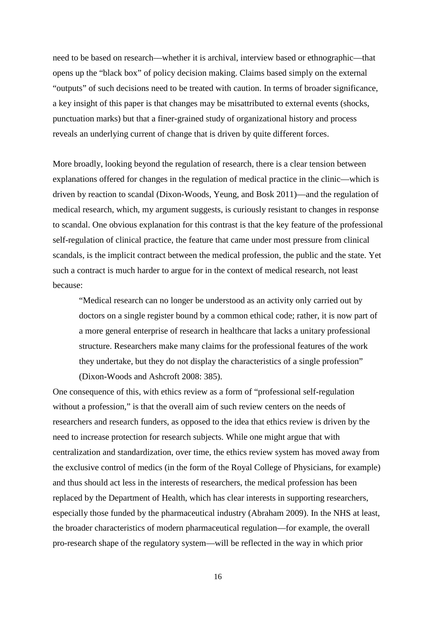need to be based on research––whether it is archival, interview based or ethnographic––that opens up the "black box" of policy decision making. Claims based simply on the external "outputs" of such decisions need to be treated with caution. In terms of broader significance, a key insight of this paper is that changes may be misattributed to external events (shocks, punctuation marks) but that a finer-grained study of organizational history and process reveals an underlying current of change that is driven by quite different forces.

More broadly, looking beyond the regulation of research, there is a clear tension between explanations offered for changes in the regulation of medical practice in the clinic––which is driven by reaction to scandal (Dixon-Woods, Yeung, and Bosk 2011)––and the regulation of medical research, which, my argument suggests, is curiously resistant to changes in response to scandal. One obvious explanation for this contrast is that the key feature of the professional self-regulation of clinical practice, the feature that came under most pressure from clinical scandals, is the implicit contract between the medical profession, the public and the state. Yet such a contract is much harder to argue for in the context of medical research, not least because:

"Medical research can no longer be understood as an activity only carried out by doctors on a single register bound by a common ethical code; rather, it is now part of a more general enterprise of research in healthcare that lacks a unitary professional structure. Researchers make many claims for the professional features of the work they undertake, but they do not display the characteristics of a single profession" (Dixon-Woods and Ashcroft 2008: 385).

One consequence of this, with ethics review as a form of "professional self-regulation without a profession," is that the overall aim of such review centers on the needs of researchers and research funders, as opposed to the idea that ethics review is driven by the need to increase protection for research subjects. While one might argue that with centralization and standardization, over time, the ethics review system has moved away from the exclusive control of medics (in the form of the Royal College of Physicians, for example) and thus should act less in the interests of researchers, the medical profession has been replaced by the Department of Health, which has clear interests in supporting researchers, especially those funded by the pharmaceutical industry (Abraham 2009). In the NHS at least, the broader characteristics of modern pharmaceutical regulation––for example, the overall pro-research shape of the regulatory system––will be reflected in the way in which prior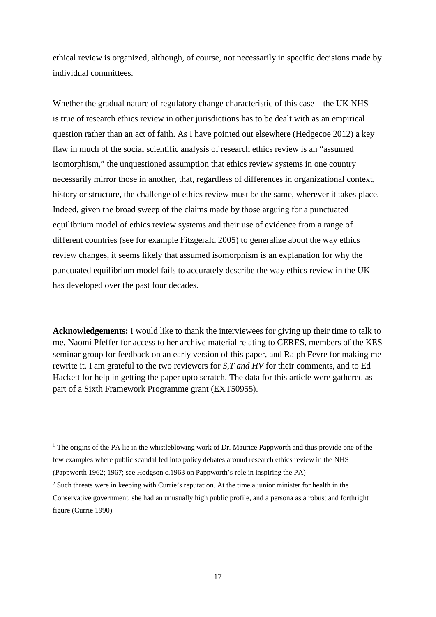ethical review is organized, although, of course, not necessarily in specific decisions made by individual committees.

Whether the gradual nature of regulatory change characteristic of this case—the UK NHS is true of research ethics review in other jurisdictions has to be dealt with as an empirical question rather than an act of faith. As I have pointed out elsewhere (Hedgecoe 2012) a key flaw in much of the social scientific analysis of research ethics review is an "assumed isomorphism," the unquestioned assumption that ethics review systems in one country necessarily mirror those in another, that, regardless of differences in organizational context, history or structure, the challenge of ethics review must be the same, wherever it takes place. Indeed, given the broad sweep of the claims made by those arguing for a punctuated equilibrium model of ethics review systems and their use of evidence from a range of different countries (see for example Fitzgerald 2005) to generalize about the way ethics review changes, it seems likely that assumed isomorphism is an explanation for why the punctuated equilibrium model fails to accurately describe the way ethics review in the UK has developed over the past four decades.

**Acknowledgements:** I would like to thank the interviewees for giving up their time to talk to me, Naomi Pfeffer for access to her archive material relating to CERES, members of the KES seminar group for feedback on an early version of this paper, and Ralph Fevre for making me rewrite it. I am grateful to the two reviewers for *S,T and HV* for their comments, and to Ed Hackett for help in getting the paper upto scratch. The data for this article were gathered as part of a Sixth Framework Programme grant (EXT50955).

 $\overline{a}$ 

<sup>&</sup>lt;sup>1</sup> The origins of the PA lie in the whistleblowing work of Dr. Maurice Pappworth and thus provide one of the few examples where public scandal fed into policy debates around research ethics review in the NHS

<sup>(</sup>Pappworth 1962; 1967; see Hodgson c.1963 on Pappworth's role in inspiring the PA)

<sup>2</sup> Such threats were in keeping with Currie's reputation. At the time a junior minister for health in the Conservative government, she had an unusually high public profile, and a persona as a robust and forthright figure (Currie 1990).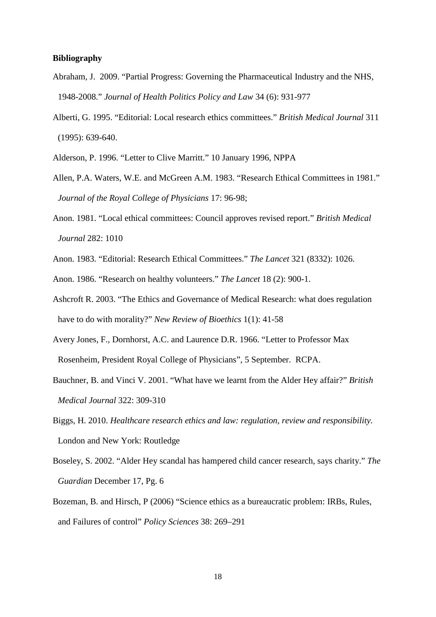#### **Bibliography**

- Abraham, J. 2009. "Partial Progress: Governing the Pharmaceutical Industry and the NHS, 1948-2008." *Journal of Health Politics Policy and Law* 34 (6): 931-977
- Alberti, G. 1995. "Editorial: Local research ethics committees." *British Medical Journal* 311 (1995): 639-640.
- Alderson, P. 1996. "Letter to Clive Marritt." 10 January 1996, NPPA
- Allen, P.A. Waters, W.E. and McGreen A.M. 1983. "Research Ethical Committees in 1981." *Journal of the Royal College of Physicians* 17: 96-98;
- Anon. 1981. "Local ethical committees: Council approves revised report." *British Medical Journal* 282: 1010
- Anon. 1983. "Editorial: Research Ethical Committees." *The Lancet* 321 (8332): 1026.
- Anon. 1986. "Research on healthy volunteers." *The Lancet* 18 (2): 900-1.
- Ashcroft R. 2003. "The Ethics and Governance of Medical Research: what does regulation have to do with morality?" *New Review of Bioethics* 1(1): 41-58
- Avery Jones, F., Dornhorst, A.C. and Laurence D.R. 1966. "Letter to Professor Max Rosenheim, President Royal College of Physicians", 5 September. RCPA.
- Bauchner, B. and Vinci V. 2001. "What have we learnt from the Alder Hey affair?" *British Medical Journal* 322: 309-310
- Biggs, H. 2010. *Healthcare research ethics and law: regulation, review and responsibility.* London and New York: Routledge
- <span id="page-18-0"></span>Boseley, S. 2002. "Alder Hey scandal has hampered child cancer research, says charity." *The Guardian* December 17, Pg. 6
- Bozeman, B. and Hirsch, P (2006) "Science ethics as a bureaucratic problem: IRBs, Rules, and Failures of control" *Policy Sciences* 38: 269–291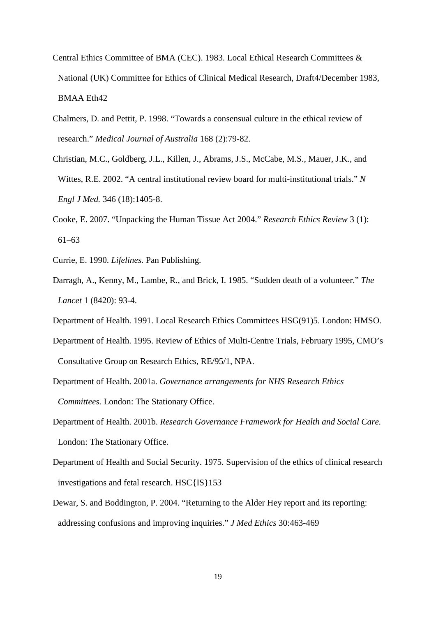- Central Ethics Committee of BMA (CEC). 1983. Local Ethical Research Committees & National (UK) Committee for Ethics of Clinical Medical Research, Draft4/December 1983, BMAA Eth42
- Chalmers, D. and Pettit, P. 1998. "Towards a consensual culture in the ethical review of research." *Medical Journal of Australia* 168 (2):79-82.
- Christian, M.C., Goldberg, J.L., Killen, J., Abrams, J.S., McCabe, M.S., Mauer, J.K., and Wittes, R.E. 2002. "A central institutional review board for multi-institutional trials." *N Engl J Med.* 346 (18):1405-8.
- Cooke, E. 2007. "Unpacking the Human Tissue Act 2004." *Research Ethics Review* 3 (1): 61–63
- Currie, E. 1990. *Lifelines.* Pan Publishing.
- Darragh, A., Kenny, M., Lambe, R., and Brick, I. 1985. "Sudden death of a volunteer." *The Lancet* 1 (8420): 93-4.
- Department of Health. 1991. Local Research Ethics Committees HSG(91)5. London: HMSO.
- Department of Health. 1995. Review of Ethics of Multi-Centre Trials, February 1995, CMO's Consultative Group on Research Ethics, RE/95/1, NPA.
- Department of Health. 2001a. *Governance arrangements for NHS Research Ethics Committees.* London: The Stationary Office.
- Department of Health. 2001b. *Research Governance Framework for Health and Social Care.* London: The Stationary Office.
- Department of Health and Social Security. 1975. Supervision of the ethics of clinical research investigations and fetal research. HSC{IS}153
- <span id="page-19-0"></span>Dewar, S. and Boddington, P. 2004. "Returning to the Alder Hey report and its reporting: addressing confusions and improving inquiries." *J Med Ethics* 30:463-469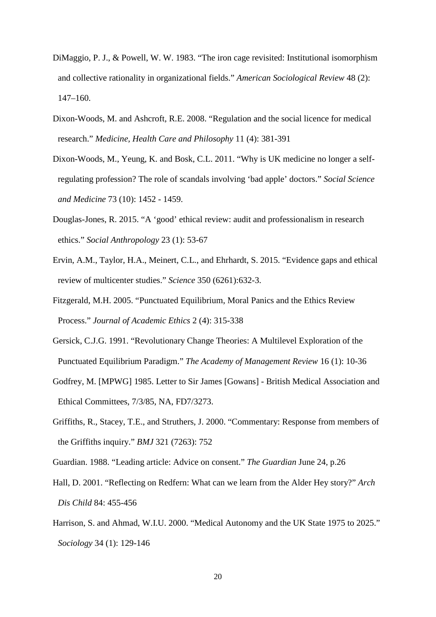- DiMaggio, P. J., & Powell, W. W. 1983. "The iron cage revisited: Institutional isomorphism and collective rationality in organizational fields." *American Sociological Review* 48 (2): 147–160.
- Dixon-Woods, M. and Ashcroft, R.E. 2008. "Regulation and the social licence for medical research." *Medicine, Health Care and Philosophy* 11 (4): 381-391
- Dixon-Woods, M., Yeung, K. and Bosk, C.L. 2011. "Why is UK medicine no longer a selfregulating profession? The role of scandals involving 'bad apple' doctors." *Social Science and Medicine* 73 (10): 1452 - 1459.
- Douglas-Jones, R. 2015. "A 'good' ethical review: audit and professionalism in research ethics." *Social Anthropology* 23 (1): 53-67
- Ervin, A.M., Taylor, H.A., Meinert, C.L., and Ehrhardt, S. 2015. "Evidence gaps and ethical review of multicenter studies." *Science* 350 (6261):632-3.
- Fitzgerald, M.H. 2005. "Punctuated Equilibrium, Moral Panics and the Ethics Review Process." *Journal of Academic Ethics* 2 (4): 315-338
- Gersick, C.J.G. 1991. "Revolutionary Change Theories: A Multilevel Exploration of the Punctuated Equilibrium Paradigm." *The Academy of Management Review* 16 (1): 10-36
- Godfrey, M. [MPWG] 1985. Letter to Sir James [Gowans] British Medical Association and Ethical Committees, 7/3/85, NA, FD7/3273.
- Griffiths, R., Stacey, T.E., and Struthers, J. 2000. "Commentary: Response from members of the Griffiths inquiry." *BMJ* 321 (7263): 752
- Guardian. 1988. "Leading article: Advice on consent." *The Guardian* June 24, p.26
- Hall, D. 2001. "Reflecting on Redfern: What can we learn from the Alder Hey story?" *Arch Dis Child* 84: 455-456
- Harrison, S. and Ahmad, W.I.U. 2000. "Medical Autonomy and the UK State 1975 to 2025." *Sociology* 34 (1): 129-146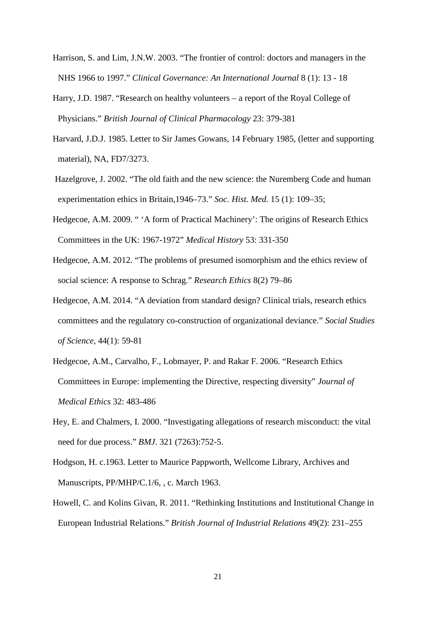- Harrison, S. and Lim, J.N.W. 2003. "The frontier of control: doctors and managers in the NHS 1966 to 1997." *Clinical Governance: An International Journal* 8 (1): 13 - 18
- Harry, J.D. 1987. "Research on healthy volunteers a report of the Royal College of Physicians." *British Journal of Clinical Pharmacology* 23: 379-381
- Harvard, J.D.J. 1985. Letter to Sir James Gowans, 14 February 1985, (letter and supporting material), NA, FD7/3273.
- Hazelgrove, J. 2002. "The old faith and the new science: the Nuremberg Code and human experimentation ethics in Britain,1946–73." *Soc. Hist. Med.* 15 (1): 109–35;
- Hedgecoe, A.M. 2009. " 'A form of Practical Machinery': The origins of Research Ethics Committees in the UK: 1967-1972" *Medical History* 53: 331-350
- Hedgecoe, A.M. 2012. "The problems of presumed isomorphism and the ethics review of social science: A response to Schrag." *Research Ethics* 8(2) 79–86
- Hedgecoe, A.M. 2014. "A deviation from standard design? Clinical trials, research ethics committees and the regulatory co-construction of organizational deviance." *Social Studies of Science*, 44(1): 59-81
- Hedgecoe, A.M., Carvalho, F., Lobmayer, P. and Rakar F. 2006. "Research Ethics Committees in Europe: implementing the Directive, respecting diversity" *Journal of Medical Ethics* 32: 483-486
- Hey, E. and Chalmers, I. 2000. "Investigating allegations of research misconduct: the vital need for due process." *BMJ*. 321 (7263):752-5.
- Hodgson, H. c.1963. Letter to Maurice Pappworth, Wellcome Library, Archives and Manuscripts, PP/MHP/C.1/6, , c. March 1963.
- Howell, C. and Kolins Givan, R. 2011. "Rethinking Institutions and Institutional Change in European Industrial Relations." *British Journal of Industrial Relations* 49(2): 231–255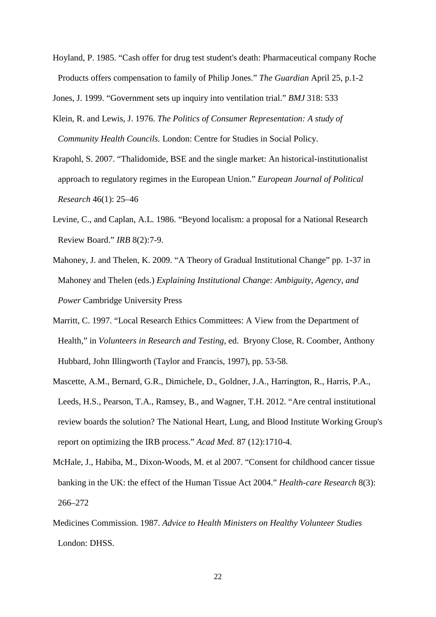Hoyland, P. 1985. "Cash offer for drug test student's death: Pharmaceutical company Roche Products offers compensation to family of Philip Jones." *The Guardian* April 25, p.1-2

Jones, J. 1999. "Government sets up inquiry into ventilation trial." *BMJ* 318: 533

- Klein, R. and Lewis, J. 1976. *The Politics of Consumer Representation: A study of Community Health Councils.* London: Centre for Studies in Social Policy.
- Krapohl, S. 2007. "Thalidomide, BSE and the single market: An historical-institutionalist approach to regulatory regimes in the European Union." *European Journal of Political Research* 46(1): 25–46
- Levine, C., and Caplan, A.L. 1986. "Beyond localism: a proposal for a National Research Review Board." *IRB* 8(2):7-9.
- Mahoney, J. and Thelen, K. 2009. "A Theory of Gradual Institutional Change" pp. 1-37 in Mahoney and Thelen (eds.) *Explaining Institutional Change: Ambiguity, Agency, and Power* Cambridge University Press
- Marritt, C. 1997. "Local Research Ethics Committees: A View from the Department of Health," in *Volunteers in Research and Testing*, ed. Bryony Close, R. Coomber, Anthony Hubbard, John Illingworth (Taylor and Francis, 1997), pp. 53-58.
- Mascette, A.M., Bernard, G.R., Dimichele, D., Goldner, J.A., Harrington, R., Harris, P.A., Leeds, H.S., Pearson, T.A., Ramsey, B., and Wagner, T.H. 2012. "Are central institutional review boards the solution? The National Heart, Lung, and Blood Institute Working Group's report on optimizing the IRB process." *Acad Med.* 87 (12):1710-4.
- McHale, J., Habiba, M., Dixon-Woods, M. et al 2007. "Consent for childhood cancer tissue banking in the UK: the effect of the Human Tissue Act 2004." *Health-care Research* 8(3): 266–272
- Medicines Commission. 1987. *Advice to Health Ministers on Healthy Volunteer Studies* London: DHSS.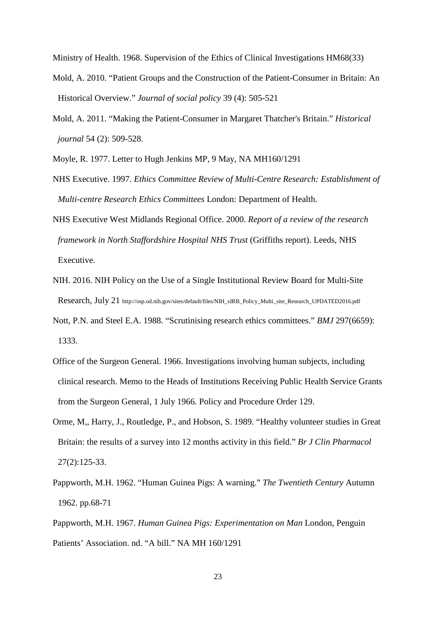Ministry of Health. 1968. Supervision of the Ethics of Clinical Investigations HM68(33)

- Mold, A. 2010. "Patient Groups and the Construction of the Patient-Consumer in Britain: An Historical Overview." *Journal of social policy* 39 (4): 505-521
- Mold, A. 2011. "Making the Patient-Consumer in Margaret Thatcher's Britain." *Historical journal* 54 (2): 509-528.

Moyle, R. 1977. Letter to Hugh Jenkins MP, 9 May, NA MH160/1291

NHS Executive. 1997. *Ethics Committee Review of Multi-Centre Research: Establishment of Multi-centre Research Ethics Committees* London: Department of Health.

NHS Executive West Midlands Regional Office. 2000. *Report of a review of the research framework in North Staffordshire Hospital NHS Trust* (Griffiths report). Leeds, NHS Executive.

NIH. 2016. NIH Policy on the Use of a Single Institutional Review Board for Multi-Site Research, July 21 http://osp.od.nih.gov/sites/default/files/NIH\_sIRB\_Policy\_Multi\_site\_Research\_UPDATED2016.pdf

Nott, P.N. and Steel E.A. 1988. "Scrutinising research ethics committees." *BMJ* 297(6659): 1333.

- Office of the Surgeon General. 1966. Investigations involving human subjects, including clinical research. Memo to the Heads of Institutions Receiving Public Health Service Grants from the Surgeon General, 1 July 1966. Policy and Procedure Order 129.
- Orme, M,, Harry, J., Routledge, P., and Hobson, S. 1989. "Healthy volunteer studies in Great Britain: the results of a survey into 12 months activity in this field." *Br J Clin Pharmacol* 27(2):125-33.
- Pappworth, M.H. 1962. "Human Guinea Pigs: A warning." *The Twentieth Century* Autumn 1962. pp.68-71
- Pappworth, M.H. 1967. *Human Guinea Pigs: Experimentation on Man* London, Penguin Patients' Association. nd. "A bill." NA MH 160/1291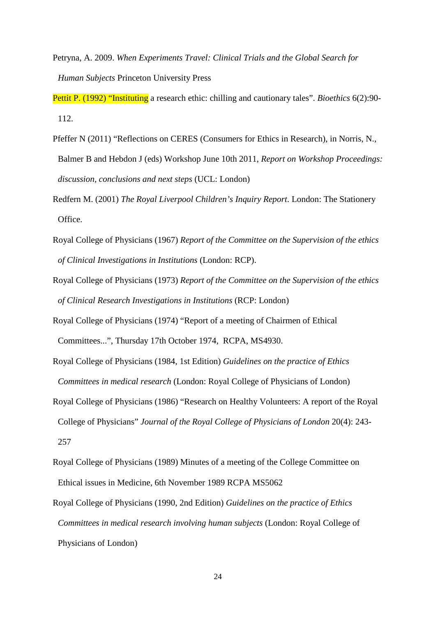- Petryna, A. 2009. *When Experiments Travel: Clinical Trials and the Global Search for Human Subjects* Princeton University Press
- Pettit P. (1992) "Instituting a research ethic: chilling and cautionary tales". *Bioethics* 6(2):90- 112.
- Pfeffer N (2011) "Reflections on CERES (Consumers for Ethics in Research), in Norris, N., Balmer B and Hebdon J (eds) Workshop June 10th 2011, *Report on Workshop Proceedings: discussion, conclusions and next steps* (UCL: London)
- Redfern M. (2001) *The Royal Liverpool Children's Inquiry Report*. London: The Stationery Office.
- Royal College of Physicians (1967) *Report of the Committee on the Supervision of the ethics of Clinical Investigations in Institutions* (London: RCP).
- Royal College of Physicians (1973) *Report of the Committee on the Supervision of the ethics of Clinical Research Investigations in Institutions* (RCP: London)
- Royal College of Physicians (1974) "Report of a meeting of Chairmen of Ethical Committees...", Thursday 17th October 1974, RCPA, MS4930.
- Royal College of Physicians (1984, 1st Edition) *Guidelines on the practice of Ethics Committees in medical research* (London: Royal College of Physicians of London)
- Royal College of Physicians (1986) "Research on Healthy Volunteers: A report of the Royal College of Physicians" *Journal of the Royal College of Physicians of London* 20(4): 243- 257
- Royal College of Physicians (1989) Minutes of a meeting of the College Committee on Ethical issues in Medicine, 6th November 1989 RCPA MS5062
- Royal College of Physicians (1990, 2nd Edition) *Guidelines on the practice of Ethics Committees in medical research involving human subjects* (London: Royal College of Physicians of London)